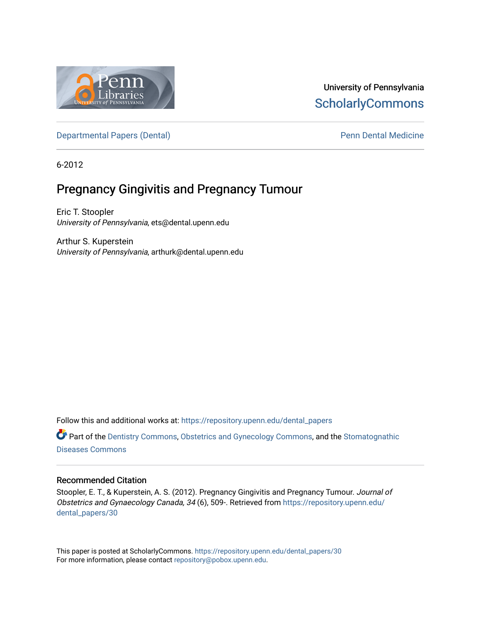

## University of Pennsylvania **ScholarlyCommons**

[Departmental Papers \(Dental\)](https://repository.upenn.edu/dental_papers) and Europe and Penn Dental Medicine

6-2012

## Pregnancy Gingivitis and Pregnancy Tumour

Eric T. Stoopler University of Pennsylvania, ets@dental.upenn.edu

Arthur S. Kuperstein University of Pennsylvania, arthurk@dental.upenn.edu

Follow this and additional works at: [https://repository.upenn.edu/dental\\_papers](https://repository.upenn.edu/dental_papers?utm_source=repository.upenn.edu%2Fdental_papers%2F30&utm_medium=PDF&utm_campaign=PDFCoverPages)

**C** Part of the [Dentistry Commons,](http://network.bepress.com/hgg/discipline/651?utm_source=repository.upenn.edu%2Fdental_papers%2F30&utm_medium=PDF&utm_campaign=PDFCoverPages) [Obstetrics and Gynecology Commons,](http://network.bepress.com/hgg/discipline/693?utm_source=repository.upenn.edu%2Fdental_papers%2F30&utm_medium=PDF&utm_campaign=PDFCoverPages) and the [Stomatognathic](http://network.bepress.com/hgg/discipline/995?utm_source=repository.upenn.edu%2Fdental_papers%2F30&utm_medium=PDF&utm_campaign=PDFCoverPages) [Diseases Commons](http://network.bepress.com/hgg/discipline/995?utm_source=repository.upenn.edu%2Fdental_papers%2F30&utm_medium=PDF&utm_campaign=PDFCoverPages) 

### Recommended Citation

Stoopler, E. T., & Kuperstein, A. S. (2012). Pregnancy Gingivitis and Pregnancy Tumour. Journal of Obstetrics and Gynaecology Canada, 34 (6), 509-. Retrieved from [https://repository.upenn.edu/](https://repository.upenn.edu/dental_papers/30?utm_source=repository.upenn.edu%2Fdental_papers%2F30&utm_medium=PDF&utm_campaign=PDFCoverPages) [dental\\_papers/30](https://repository.upenn.edu/dental_papers/30?utm_source=repository.upenn.edu%2Fdental_papers%2F30&utm_medium=PDF&utm_campaign=PDFCoverPages) 

This paper is posted at ScholarlyCommons. [https://repository.upenn.edu/dental\\_papers/30](https://repository.upenn.edu/dental_papers/30)  For more information, please contact [repository@pobox.upenn.edu.](mailto:repository@pobox.upenn.edu)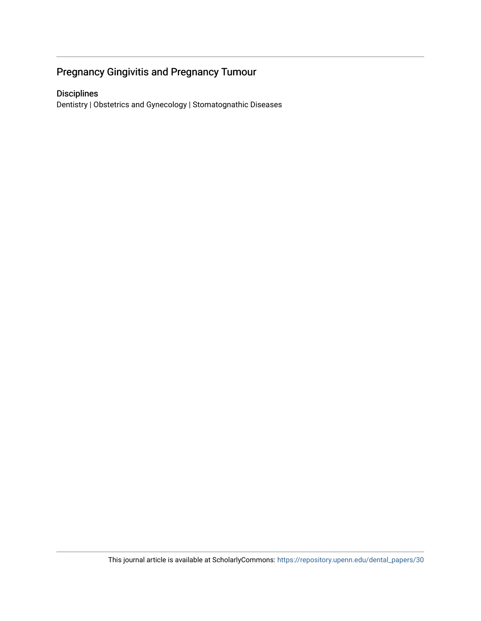## Pregnancy Gingivitis and Pregnancy Tumour

## Disciplines

Dentistry | Obstetrics and Gynecology | Stomatognathic Diseases